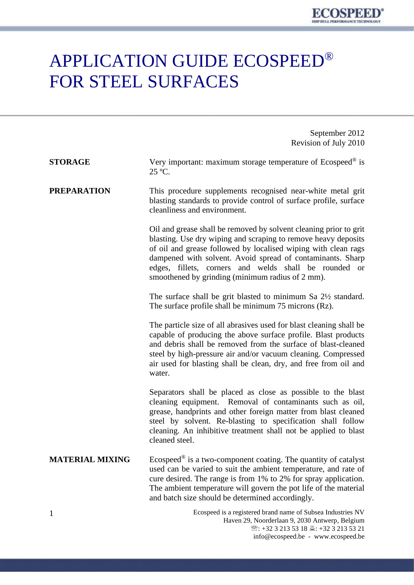# APPLICATION GUIDE ECOSPEED® FOR STEEL SURFACES

September 2012 Revision of July 2010

| <b>STORAGE</b>         | Very important: maximum storage temperature of Ecospeed® is<br>25 °C.                                                                                                                                                                                                                                                                                                            |  |
|------------------------|----------------------------------------------------------------------------------------------------------------------------------------------------------------------------------------------------------------------------------------------------------------------------------------------------------------------------------------------------------------------------------|--|
| <b>PREPARATION</b>     | This procedure supplements recognised near-white metal grit<br>blasting standards to provide control of surface profile, surface<br>cleanliness and environment.                                                                                                                                                                                                                 |  |
|                        | Oil and grease shall be removed by solvent cleaning prior to grit<br>blasting. Use dry wiping and scraping to remove heavy deposits<br>of oil and grease followed by localised wiping with clean rags<br>dampened with solvent. Avoid spread of contaminants. Sharp<br>edges, fillets, corners and welds shall be rounded or<br>smoothened by grinding (minimum radius of 2 mm). |  |
|                        | The surface shall be grit blasted to minimum Sa $2\frac{1}{2}$ standard.<br>The surface profile shall be minimum 75 microns (Rz).                                                                                                                                                                                                                                                |  |
|                        | The particle size of all abrasives used for blast cleaning shall be<br>capable of producing the above surface profile. Blast products<br>and debris shall be removed from the surface of blast-cleaned<br>steel by high-pressure air and/or vacuum cleaning. Compressed<br>air used for blasting shall be clean, dry, and free from oil and<br>water.                            |  |
|                        | Separators shall be placed as close as possible to the blast<br>cleaning equipment. Removal of contaminants such as oil,<br>grease, handprints and other foreign matter from blast cleaned<br>steel by solvent. Re-blasting to specification shall follow<br>cleaning. An inhibitive treatment shall not be applied to blast<br>cleaned steel.                                   |  |
| <b>MATERIAL MIXING</b> | Ecospeed <sup>®</sup> is a two-component coating. The quantity of catalyst<br>used can be varied to suit the ambient temperature, and rate of<br>cure desired. The range is from 1% to 2% for spray application.<br>The ambient temperature will govern the pot life of the material<br>and batch size should be determined accordingly.                                         |  |
|                        | Ecospeed is a registered brand name of Subsea Industries NV                                                                                                                                                                                                                                                                                                                      |  |

1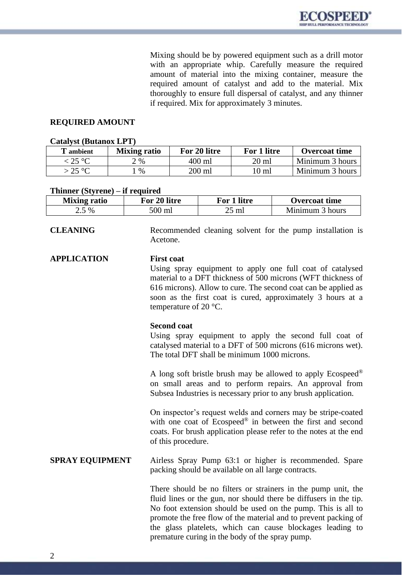Mixing should be by powered equipment such as a drill motor with an appropriate whip. Carefully measure the required amount of material into the mixing container, measure the required amount of catalyst and add to the material. Mix thoroughly to ensure full dispersal of catalyst, and any thinner if required. Mix for approximately 3 minutes.

#### **REQUIRED AMOUNT**

### **Catalyst (Butanox LPT)**

| <b>T</b> ambient | <b>Mixing ratio</b> | For 20 litre | For 1 litre     | <b>Overcoat time</b> |
|------------------|---------------------|--------------|-----------------|----------------------|
| $\cdot$ 25 °C    | $\frac{9}{6}$       | 400 ml       | $20 \text{ ml}$ | Minimum 3 hours      |
| > 25 °C          | %                   | 200 ml       | 10 ml           | Minimum 3 hours      |

## **Thinner (Styrene) – if required**

| <b>Mixing ratio</b> | For 20 litre | For 1 litre | Overcoat time   |
|---------------------|--------------|-------------|-----------------|
| $.5\%$              | 500 ml       | าร mı       | Minimum 3 hours |

**CLEANING** Recommended cleaning solvent for the pump installation is Acetone.

### **APPLICATION First coat**

Using spray equipment to apply one full coat of catalysed material to a DFT thickness of 500 microns (WFT thickness of 616 microns). Allow to cure. The second coat can be applied as soon as the first coat is cured, approximately 3 hours at a temperature of 20 °C.

#### **Second coat**

Using spray equipment to apply the second full coat of catalysed material to a DFT of 500 microns (616 microns wet). The total DFT shall be minimum 1000 microns.

A long soft bristle brush may be allowed to apply Ecospeed® on small areas and to perform repairs. An approval from Subsea Industries is necessary prior to any brush application.

On inspector's request welds and corners may be stripe-coated with one coat of Ecospeed<sup>®</sup> in between the first and second coats. For brush application please refer to the notes at the end of this procedure.

## **SPRAY EQUIPMENT** Airless Spray Pump 63:1 or higher is recommended. Spare packing should be available on all large contracts.

There should be no filters or strainers in the pump unit, the fluid lines or the gun, nor should there be diffusers in the tip. No foot extension should be used on the pump. This is all to promote the free flow of the material and to prevent packing of the glass platelets, which can cause blockages leading to premature curing in the body of the spray pump.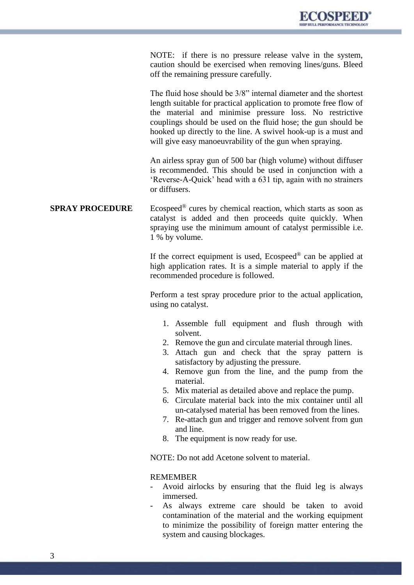NOTE: if there is no pressure release valve in the system, caution should be exercised when removing lines/guns. Bleed off the remaining pressure carefully.

The fluid hose should be 3/8" internal diameter and the shortest length suitable for practical application to promote free flow of the material and minimise pressure loss. No restrictive couplings should be used on the fluid hose; the gun should be hooked up directly to the line. A swivel hook-up is a must and will give easy manoeuvrability of the gun when spraying.

An airless spray gun of 500 bar (high volume) without diffuser is recommended. This should be used in conjunction with a 'Reverse-A-Quick' head with a 631 tip, again with no strainers or diffusers.

**SPRAY PROCEDURE** Ecospeed<sup>®</sup> cures by chemical reaction, which starts as soon as catalyst is added and then proceeds quite quickly. When spraying use the minimum amount of catalyst permissible i.e. 1 % by volume.

> If the correct equipment is used,  $E\text{cospeed}^{\circledR}$  can be applied at high application rates. It is a simple material to apply if the recommended procedure is followed.

> Perform a test spray procedure prior to the actual application, using no catalyst.

- 1. Assemble full equipment and flush through with solvent.
- 2. Remove the gun and circulate material through lines.
- 3. Attach gun and check that the spray pattern is satisfactory by adjusting the pressure.
- 4. Remove gun from the line, and the pump from the material.
- 5. Mix material as detailed above and replace the pump.
- 6. Circulate material back into the mix container until all un-catalysed material has been removed from the lines.
- 7. Re-attach gun and trigger and remove solvent from gun and line.
- 8. The equipment is now ready for use.

NOTE: Do not add Acetone solvent to material.

## REMEMBER

- Avoid airlocks by ensuring that the fluid leg is always immersed.
- As always extreme care should be taken to avoid contamination of the material and the working equipment to minimize the possibility of foreign matter entering the system and causing blockages.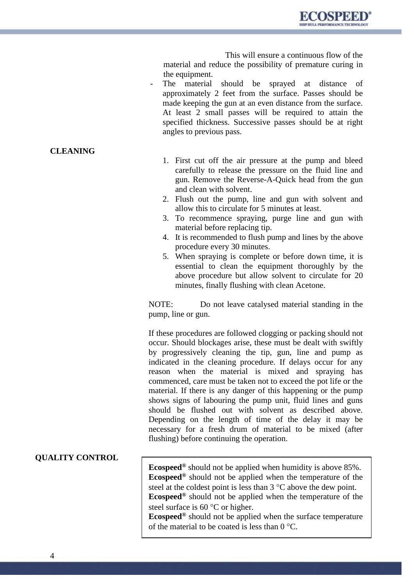This will ensure a continuous flow of the material and reduce the possibility of premature curing in the equipment.

- The material should be sprayed at distance of approximately 2 feet from the surface. Passes should be made keeping the gun at an even distance from the surface. At least 2 small passes will be required to attain the specified thickness. Successive passes should be at right angles to previous pass.
	- 1. First cut off the air pressure at the pump and bleed carefully to release the pressure on the fluid line and gun. Remove the Reverse-A-Quick head from the gun and clean with solvent.
	- 2. Flush out the pump, line and gun with solvent and allow this to circulate for 5 minutes at least.
	- 3. To recommence spraying, purge line and gun with material before replacing tip.
	- 4. It is recommended to flush pump and lines by the above procedure every 30 minutes.
	- 5. When spraying is complete or before down time, it is essential to clean the equipment thoroughly by the above procedure but allow solvent to circulate for 20 minutes, finally flushing with clean Acetone.

NOTE: Do not leave catalysed material standing in the pump, line or gun.

If these procedures are followed clogging or packing should not occur. Should blockages arise, these must be dealt with swiftly by progressively cleaning the tip, gun, line and pump as indicated in the cleaning procedure. If delays occur for any reason when the material is mixed and spraying has commenced, care must be taken not to exceed the pot life or the material. If there is any danger of this happening or the pump shows signs of labouring the pump unit, fluid lines and guns should be flushed out with solvent as described above. Depending on the length of time of the delay it may be necessary for a fresh drum of material to be mixed (after flushing) before continuing the operation.

## **QUALITY CONTROL**

**Ecospeed®** should not be applied when humidity is above 85%. **Ecospeed®** should not be applied when the temperature of the steel at the coldest point is less than  $3^{\circ}$ C above the dew point. **Ecospeed®** should not be applied when the temperature of the steel surface is 60 $\degree$ C or higher.

**Ecospeed®** should not be applied when the surface temperature of the material to be coated is less than  $0^{\circ}C$ .

**CLEANING**